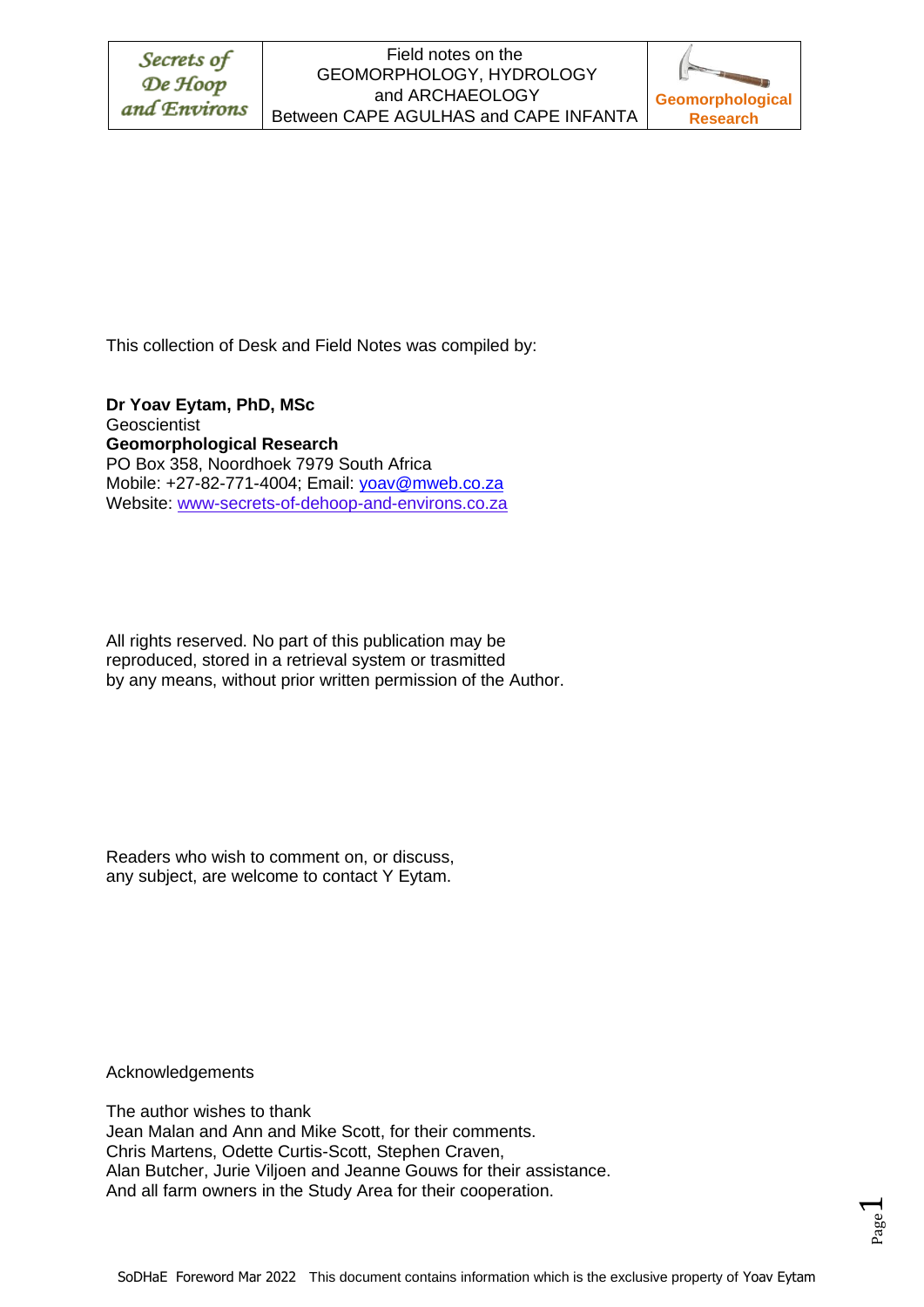## Field notes on the GEOMORPHOLOGY, HYDROLOGY and ARCHAEOLOGY Between CAPE AGULHAS and CAPE INFANTA



This collection of Desk and Field Notes was compiled by:

**Dr Yoav Eytam, PhD, MSc Geoscientist Geomorphological Research** PO Box 358, Noordhoek 7979 South Africa Mobile: +27-82-771-4004; Email: [yoav@mweb.co.za](mailto:yoav@mweb.co.za) Website: www-secrets-of-dehoop-and-environs.co.za

All rights reserved. No part of this publication may be reproduced, stored in a retrieval system or trasmitted by any means, without prior written permission of the Author.

Readers who wish to comment on, or discuss, any subject, are welcome to contact Y Eytam.

Acknowledgements

The author wishes to thank Jean Malan and Ann and Mike Scott, for their comments. Chris Martens, Odette Curtis-Scott, Stephen Craven, Alan Butcher, Jurie Viljoen and Jeanne Gouws for their assistance. And all farm owners in the Study Area for their cooperation.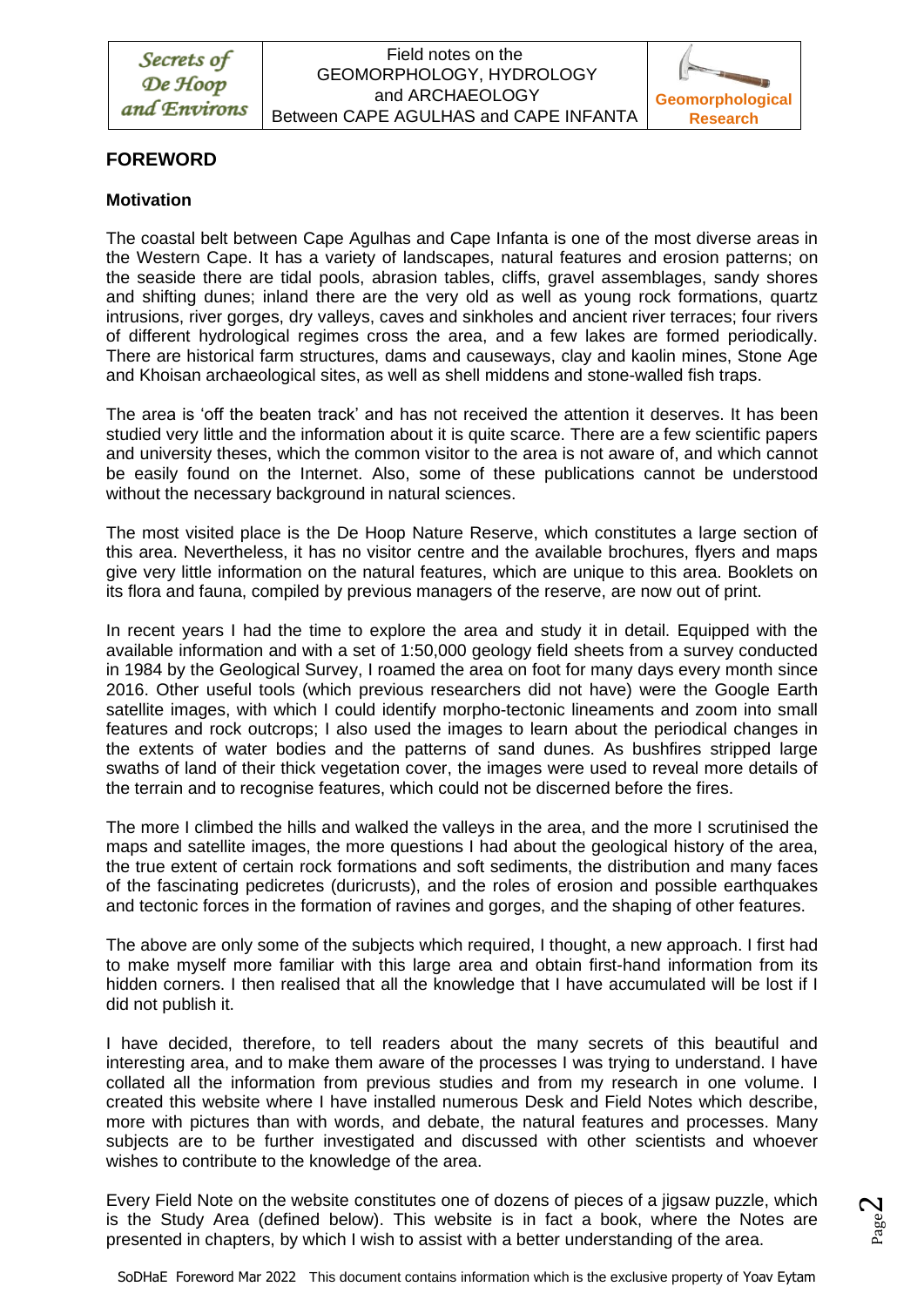

# **FOREWORD**

## **Motivation**

The coastal belt between Cape Agulhas and Cape Infanta is one of the most diverse areas in the Western Cape. It has a variety of landscapes, natural features and erosion patterns; on the seaside there are tidal pools, abrasion tables, cliffs, gravel assemblages, sandy shores and shifting dunes; inland there are the very old as well as young rock formations, quartz intrusions, river gorges, dry valleys, caves and sinkholes and ancient river terraces; four rivers of different hydrological regimes cross the area, and a few lakes are formed periodically. There are historical farm structures, dams and causeways, clay and kaolin mines, Stone Age and Khoisan archaeological sites, as well as shell middens and stone-walled fish traps.

The area is 'off the beaten track' and has not received the attention it deserves. It has been studied very little and the information about it is quite scarce. There are a few scientific papers and university theses, which the common visitor to the area is not aware of, and which cannot be easily found on the Internet. Also, some of these publications cannot be understood without the necessary background in natural sciences.

The most visited place is the De Hoop Nature Reserve, which constitutes a large section of this area. Nevertheless, it has no visitor centre and the available brochures, flyers and maps give very little information on the natural features, which are unique to this area. Booklets on its flora and fauna, compiled by previous managers of the reserve, are now out of print.

In recent years I had the time to explore the area and study it in detail. Equipped with the available information and with a set of 1:50,000 geology field sheets from a survey conducted in 1984 by the Geological Survey, I roamed the area on foot for many days every month since 2016. Other useful tools (which previous researchers did not have) were the Google Earth satellite images, with which I could identify morpho-tectonic lineaments and zoom into small features and rock outcrops; I also used the images to learn about the periodical changes in the extents of water bodies and the patterns of sand dunes. As bushfires stripped large swaths of land of their thick vegetation cover, the images were used to reveal more details of the terrain and to recognise features, which could not be discerned before the fires.

The more I climbed the hills and walked the valleys in the area, and the more I scrutinised the maps and satellite images, the more questions I had about the geological history of the area, the true extent of certain rock formations and soft sediments, the distribution and many faces of the fascinating pedicretes (duricrusts), and the roles of erosion and possible earthquakes and tectonic forces in the formation of ravines and gorges, and the shaping of other features.

The above are only some of the subjects which required, I thought, a new approach. I first had to make myself more familiar with this large area and obtain first-hand information from its hidden corners. I then realised that all the knowledge that I have accumulated will be lost if I did not publish it.

I have decided, therefore, to tell readers about the many secrets of this beautiful and interesting area, and to make them aware of the processes I was trying to understand. I have collated all the information from previous studies and from my research in one volume. I created this website where I have installed numerous Desk and Field Notes which describe, more with pictures than with words, and debate, the natural features and processes. Many subjects are to be further investigated and discussed with other scientists and whoever wishes to contribute to the knowledge of the area.

Every Field Note on the website constitutes one of dozens of pieces of a jigsaw puzzle, which is the Study Area (defined below). This website is in fact a book, where the Notes are presented in chapters, by which I wish to assist with a better understanding of the area.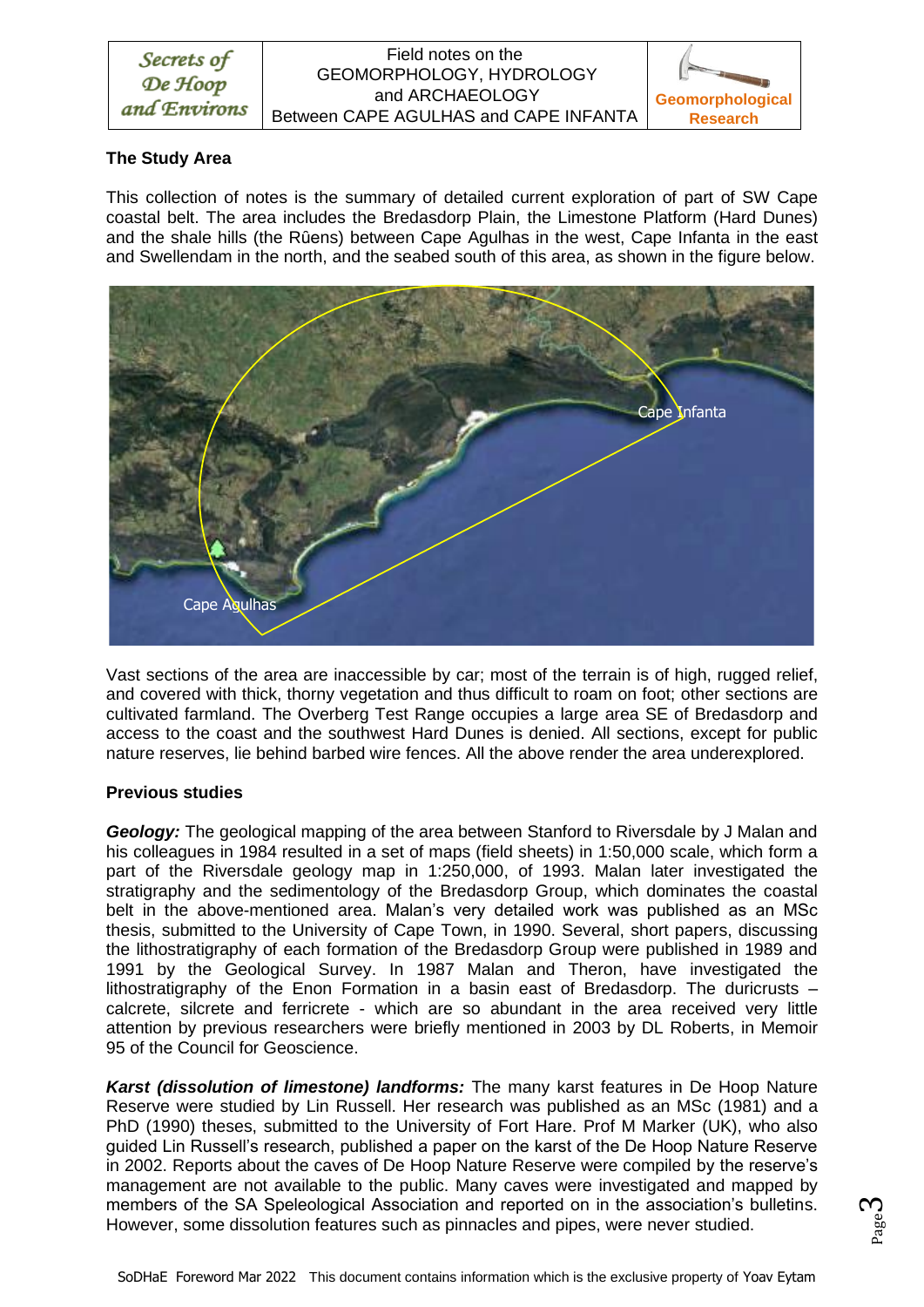

#### Field notes on the GEOMORPHOLOGY, HYDROLOGY and ARCHAEOLOGY Between CAPE AGULHAS and CAPE INFANTA



## **The Study Area**

This collection of notes is the summary of detailed current exploration of part of SW Cape coastal belt. The area includes the Bredasdorp Plain, the Limestone Platform (Hard Dunes) and the shale hills (the Rûens) between Cape Agulhas in the west, Cape Infanta in the east and Swellendam in the north, and the seabed south of this area, as shown in the figure below.



Vast sections of the area are inaccessible by car; most of the terrain is of high, rugged relief, and covered with thick, thorny vegetation and thus difficult to roam on foot; other sections are cultivated farmland. The Overberg Test Range occupies a large area SE of Bredasdorp and access to the coast and the southwest Hard Dunes is denied. All sections, except for public nature reserves, lie behind barbed wire fences. All the above render the area underexplored.

## **Previous studies**

*Geology:* The geological mapping of the area between Stanford to Riversdale by J Malan and his colleagues in 1984 resulted in a set of maps (field sheets) in 1:50,000 scale, which form a part of the Riversdale geology map in 1:250,000, of 1993. Malan later investigated the stratigraphy and the sedimentology of the Bredasdorp Group, which dominates the coastal belt in the above-mentioned area. Malan's very detailed work was published as an MSc thesis, submitted to the University of Cape Town, in 1990. Several, short papers, discussing the lithostratigraphy of each formation of the Bredasdorp Group were published in 1989 and 1991 by the Geological Survey. In 1987 Malan and Theron, have investigated the lithostratigraphy of the Enon Formation in a basin east of Bredasdorp. The duricrusts – calcrete, silcrete and ferricrete - which are so abundant in the area received very little attention by previous researchers were briefly mentioned in 2003 by DL Roberts, in Memoir 95 of the Council for Geoscience.

*Karst (dissolution of limestone) landforms:* The many karst features in De Hoop Nature Reserve were studied by Lin Russell. Her research was published as an MSc (1981) and a PhD (1990) theses, submitted to the University of Fort Hare. Prof M Marker (UK), who also guided Lin Russell's research, published a paper on the karst of the De Hoop Nature Reserve in 2002. Reports about the caves of De Hoop Nature Reserve were compiled by the reserve's management are not available to the public. Many caves were investigated and mapped by members of the SA Speleological Association and reported on in the association's bulletins. However, some dissolution features such as pinnacles and pipes, were never studied.